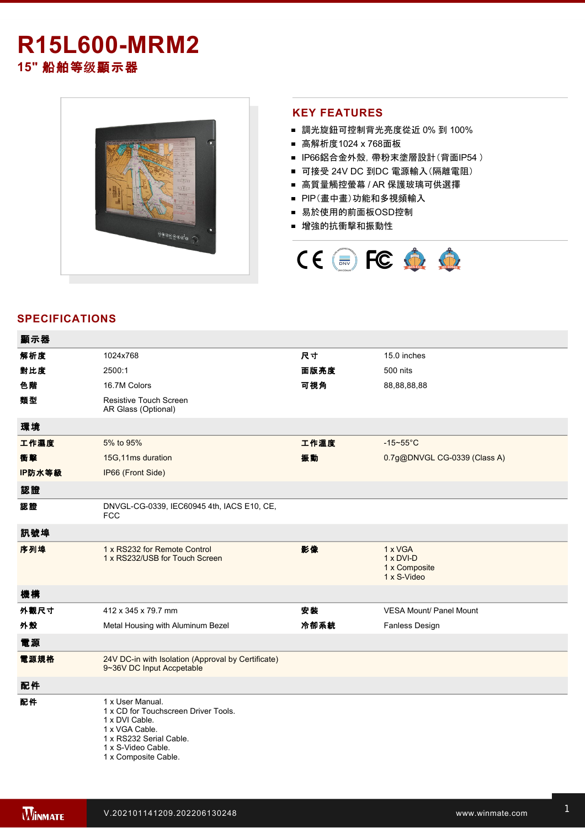# **R15L600-MRM2**

**15"** 船舶等级顯示器



## **KEY FEATURES**

- 調光旋鈕可控制背光亮度從近 0% 到 100%
- 高解析度1024 x 768面板
- IP66鋁合金外殼, 帶粉末塗層設計(背面IP54)
- 可接受 24V DC 到DC 電源輸入(隔離電阻)
- 高質量觸控螢幕 / AR 保護玻璃可供選擇
- PIP(畫中畫)功能和多視頻輸入
- 易於使用的前面板OSD控制
- 增強的抗衝擊和振動性



# **SPECIFICATIONS**

| 顯示器    |                                                                                                                                                                       |      |                                                      |
|--------|-----------------------------------------------------------------------------------------------------------------------------------------------------------------------|------|------------------------------------------------------|
| 解析度    | 1024x768                                                                                                                                                              | 尺寸   | 15.0 inches                                          |
| 對比度    | 2500:1                                                                                                                                                                | 面版亮度 | 500 nits                                             |
| 色階     | 16.7M Colors                                                                                                                                                          | 可視角  | 88,88,88,88                                          |
| 類型     | Resistive Touch Screen<br>AR Glass (Optional)                                                                                                                         |      |                                                      |
| 環境     |                                                                                                                                                                       |      |                                                      |
| 工作濕度   | 5% to 95%                                                                                                                                                             | 工作溫度 | $-15 - 55$ °C                                        |
| 衝擊     | 15G, 11ms duration                                                                                                                                                    | 振動   | 0.7g@DNVGL CG-0339 (Class A)                         |
| IP防水等級 | IP66 (Front Side)                                                                                                                                                     |      |                                                      |
| 認證     |                                                                                                                                                                       |      |                                                      |
| 認證     | DNVGL-CG-0339, IEC60945 4th, IACS E10, CE,<br><b>FCC</b>                                                                                                              |      |                                                      |
| 訊號埠    |                                                                                                                                                                       |      |                                                      |
| 序列埠    | 1 x RS232 for Remote Control<br>1 x RS232/USB for Touch Screen                                                                                                        | 影像   | 1 x VGA<br>1 x DVI-D<br>1 x Composite<br>1 x S-Video |
| 機構     |                                                                                                                                                                       |      |                                                      |
| 外觀尺寸   | 412 x 345 x 79.7 mm                                                                                                                                                   | 安装   | <b>VESA Mount/ Panel Mount</b>                       |
| 外殼     | Metal Housing with Aluminum Bezel                                                                                                                                     | 冷卻系統 | Fanless Design                                       |
| 電源     |                                                                                                                                                                       |      |                                                      |
| 電源規格   | 24V DC-in with Isolation (Approval by Certificate)<br>9~36V DC Input Accpetable                                                                                       |      |                                                      |
| 配件     |                                                                                                                                                                       |      |                                                      |
| 配件     | 1 x User Manual.<br>1 x CD for Touchscreen Driver Tools.<br>1 x DVI Cable.<br>1 x VGA Cable.<br>1 x RS232 Serial Cable.<br>1 x S-Video Cable.<br>1 x Composite Cable. |      |                                                      |

**DIMENSIONS**  UNIT:MM